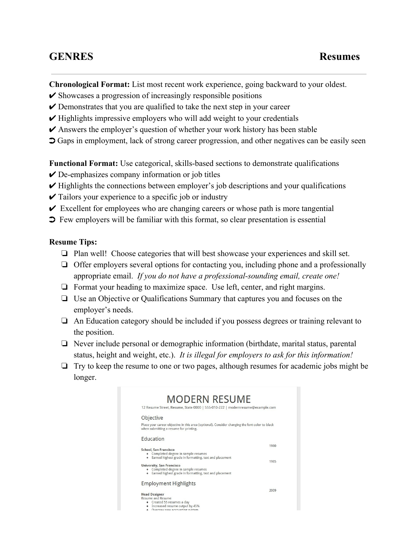## **GENRES Resumes**

**Chronological Format:** List most recent work experience, going backward to your oldest.

- $\triangleright$  Showcases a progression of increasingly responsible positions
- $\vee$  Demonstrates that you are qualified to take the next step in your career
- $\vee$  Highlights impressive employers who will add weight to your credentials
- $\triangleright$  Answers the employer's question of whether your work history has been stable
- ➲ Gaps in employment, lack of strong career progression, and other negatives can be easily seen

**Functional Format:** Use categorical, skills-based sections to demonstrate qualifications

- $\vee$  De-emphasizes company information or job titles
- $\vee$  Highlights the connections between employer's job descriptions and your qualifications
- $\checkmark$  Tailors your experience to a specific job or industry
- $\triangleright$  Excellent for employees who are changing careers or whose path is more tangential
- ➲ Few employers will be familiar with this format, so clear presentation is essential

## **Resume Tips:**

- ❏ Plan well! Choose categories that will best showcase your experiences and skill set.
- ❏ Offer employers several options for contacting you, including phone and a professionally appropriate email. *If you do not have a professionalsounding email, create one!*
- ❏ Format your heading to maximize space. Use left, center, and right margins.
- ❏ Use an Objective or Qualifications Summary that captures you and focuses on the employer's needs.
- ❏ An Education category should be included if you possess degrees or training relevant to the position.
- ❏ Never include personal or demographic information (birthdate, marital status, parental status, height and weight, etc.). *It is illegal for employers to ask for this information!*
- ❏ Try to keep the resume to one or two pages, although resumes for academic jobs might be longer.

| 12 Resume Street, Resume, State 0000   555-010-222   modernresume@example.com                                                                                                                                                                            |              |
|----------------------------------------------------------------------------------------------------------------------------------------------------------------------------------------------------------------------------------------------------------|--------------|
| Objective                                                                                                                                                                                                                                                |              |
| Place your career objective in this area (optional). Consider changing the font color to black<br>when submitting a resume for printing.                                                                                                                 |              |
| <b>Education</b>                                                                                                                                                                                                                                         |              |
| School, San Francisco<br>• Completed degree in sample resumes<br>• Earned highest grade in formatting, text and placement<br>University, San Francisco<br>Completed degree in sample resumes<br>• Earned highest grade in formatting, text and placement | 1980<br>1985 |
| <b>Employment Highlights</b>                                                                                                                                                                                                                             |              |
| <b>Head Designer</b><br><b>Resume and Resume</b><br>• Created 55 resumes a day<br>Increased resume output by 45%<br>Overcaw new accounting system                                                                                                        | 2009         |